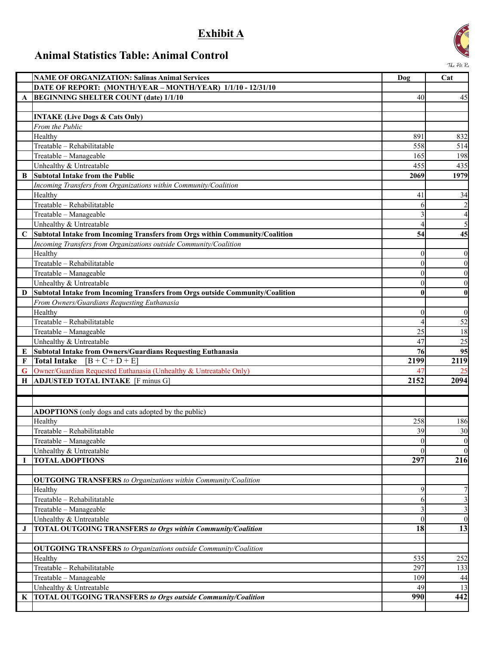## **Exhibit A**

## **Animal Statistics Table: Animal Control**



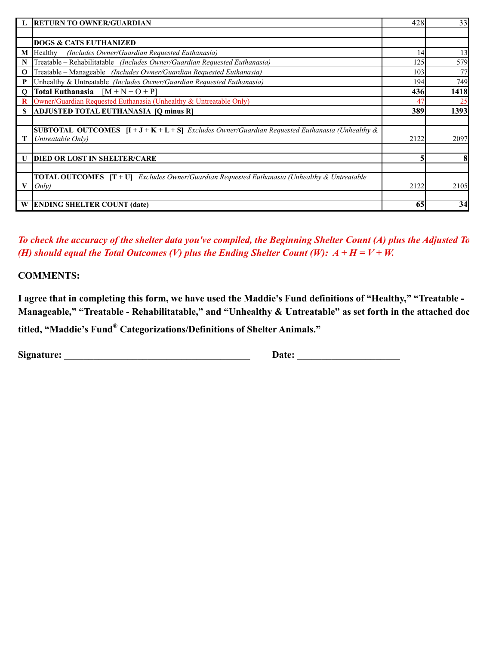|              | <b>RETURN TO OWNER/GUARDIAN</b>                                                                          | 428  | 33   |
|--------------|----------------------------------------------------------------------------------------------------------|------|------|
|              |                                                                                                          |      |      |
|              | <b>DOGS &amp; CATS EUTHANIZED</b>                                                                        |      |      |
| M            | (Includes Owner/Guardian Requested Euthanasia)<br>Healthy                                                | 14   | 13   |
| N            | Treatable – Rehabilitatable (Includes Owner/Guardian Requested Euthanasia)                               | 125  | 579  |
| $\mathbf{o}$ | Treatable - Manageable (Includes Owner/Guardian Requested Euthanasia)                                    | 103  | 77   |
| P            | Unhealthy & Untreatable (Includes Owner/Guardian Requested Euthanasia)                                   | 194  | 749  |
| $\mathbf{o}$ | Total Euthanasia<br>$[M + N + O + P]$                                                                    | 436  | 1418 |
| $\bf{R}$     | Owner/Guardian Requested Euthanasia (Unhealthy & Untreatable Only)                                       | 47   | 25   |
| S            | ADJUSTED TOTAL EUTHANASIA [Q minus R]                                                                    | 389  | 1393 |
|              |                                                                                                          |      |      |
|              | <b>SUBTOTAL OUTCOMES</b> $[I + J + K + L + S]$ Excludes Owner/Guardian Requested Euthanasia (Unhealthy & |      |      |
|              | Untreatable Only)                                                                                        | 2122 | 2097 |
|              |                                                                                                          |      |      |
| U            | <b>DIED OR LOST IN SHELTER/CARE</b>                                                                      |      | 8    |
|              |                                                                                                          |      |      |
|              | <b>TOTAL OUTCOMES</b> $[T + U]$ Excludes Owner/Guardian Requested Euthanasia (Unhealthy & Untreatable    |      |      |
| V            | Onlv)                                                                                                    | 2122 | 2105 |
|              |                                                                                                          |      |      |
| W            | <b>ENDING SHELTER COUNT (date)</b>                                                                       | 65   | 34   |

*To check the accuracy of the shelter data you've compiled, the Beginning Shelter Count (A) plus the Adjusted To (H) should equal the Total Outcomes (V) plus the Ending Shelter Count (W):*  $A + H = V + W$ .

**COMMENTS:**

**I agree that in completing this form, we have used the Maddie's Fund definitions of "Healthy," "Treatable -**  Manageable," "Treatable - Rehabilitatable," and "Unhealthy & Untreatable" as set forth in the attached doc **titled, "Maddie's Fund® Categorizations/Definitions of Shelter Animals."**

**Signature:** \_\_\_\_\_\_\_\_\_\_\_\_\_\_\_\_\_\_\_\_\_\_\_\_\_\_\_\_\_\_\_\_\_\_\_\_\_\_ **Date:** \_\_\_\_\_\_\_\_\_\_\_\_\_\_\_\_\_\_\_\_\_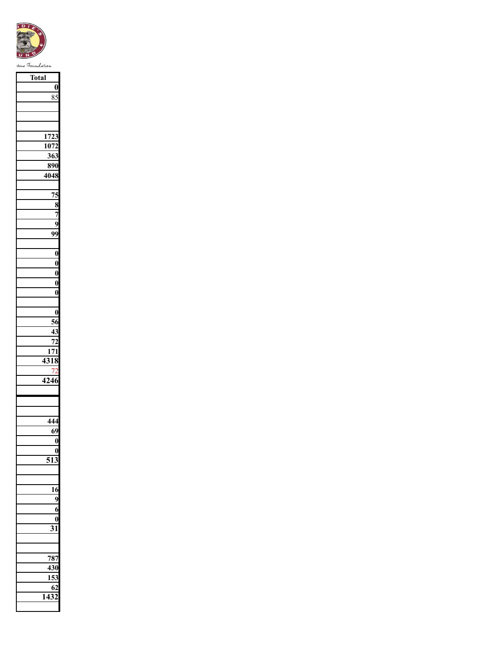

| Total            |
|------------------|
|                  |
| $\bf{0}$         |
| 85               |
|                  |
|                  |
|                  |
|                  |
| 1723             |
| 1072             |
| 363              |
| 890              |
|                  |
| 4048             |
|                  |
| $\overline{75}$  |
|                  |
| $\frac{8}{7}$    |
|                  |
| 9                |
| 99               |
|                  |
|                  |
| $\bf{0}$         |
| $\bf{0}$         |
| $\bf{0}$         |
| $\bf{0}$         |
| $\bf{0}$         |
|                  |
|                  |
| $\bf{0}$         |
| $\frac{56}{56}$  |
| 43               |
| $\overline{72}$  |
| $\overline{171}$ |
|                  |
| 4318             |
|                  |
| $\frac{1}{4246}$ |
|                  |
|                  |
|                  |
|                  |
| 444              |
| 69               |
| $\boldsymbol{0}$ |
| 0                |
|                  |
| 51<br>3          |
|                  |
|                  |
| 16               |
| 9                |
|                  |
| 6                |
| 0                |
| 3<br>1           |
|                  |
|                  |
| 787              |
|                  |
| 430              |
| 153              |
| 62               |
| 1<br>2<br>4      |
|                  |
|                  |